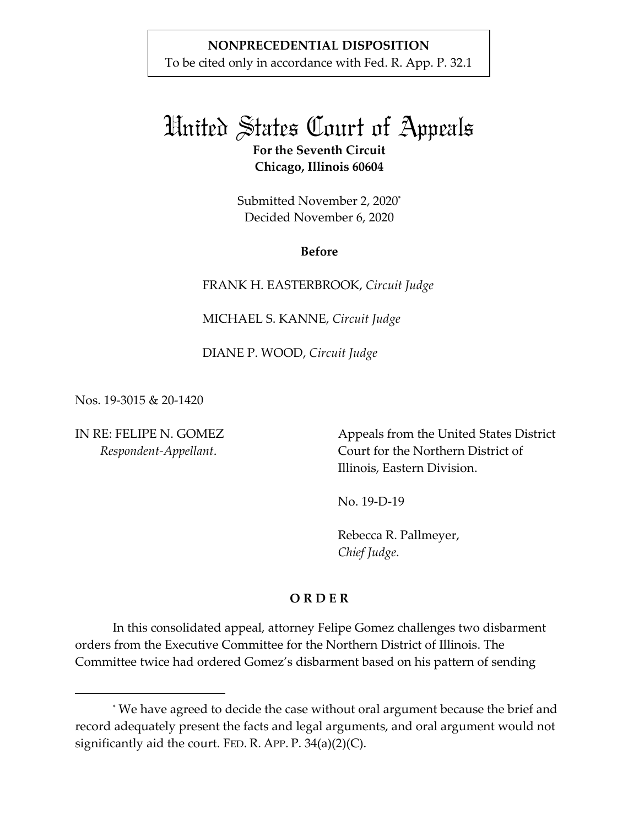### **NONPRECEDENTIAL DISPOSITION**

To be cited only in accordance with Fed. R. App. P. 32.1

# United States Court of Appeals **For the Seventh Circuit Chicago, Illinois 60604**

Submitted November 2, 2020\* Decided November 6, 2020

#### **Before**

FRANK H. EASTERBROOK, *Circuit Judge*

#### MICHAEL S. KANNE, *Circuit Judge*

#### DIANE P. WOOD, *Circuit Judge*

Nos. 19-3015 & 20-1420

IN RE: FELIPE N. GOMEZ  *Respondent-Appellant*.

Appeals from the United States District Court for the Northern District of Illinois, Eastern Division.

No. 19-D-19

Rebecca R. Pallmeyer, *Chief Judge*.

#### **O R D E R**

In this consolidated appeal, attorney Felipe Gomez challenges two disbarment orders from the Executive Committee for the Northern District of Illinois. The Committee twice had ordered Gomez's disbarment based on his pattern of sending

<sup>\*</sup> We have agreed to decide the case without oral argument because the brief and record adequately present the facts and legal arguments, and oral argument would not significantly aid the court. FED. R. APP. P. 34(a)(2)(C).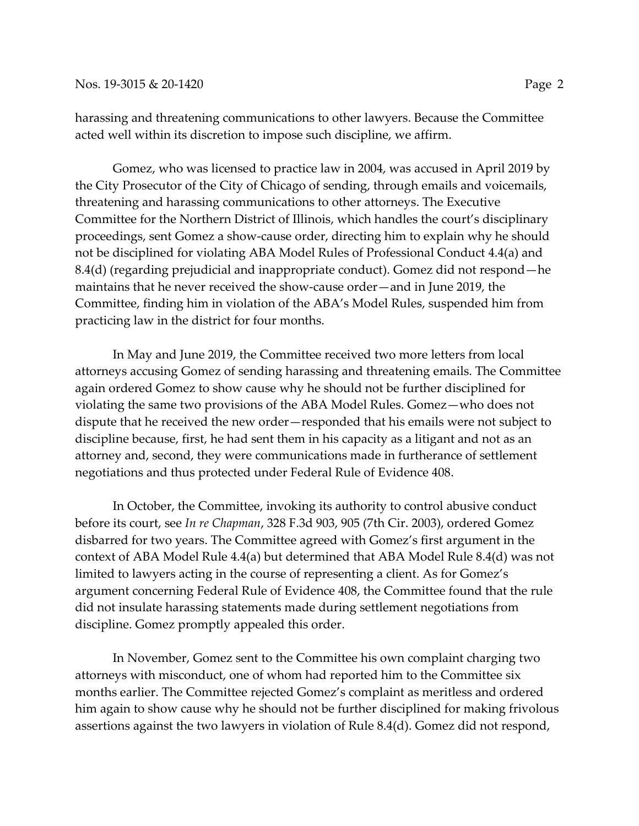harassing and threatening communications to other lawyers. Because the Committee acted well within its discretion to impose such discipline, we affirm.

Gomez, who was licensed to practice law in 2004, was accused in April 2019 by the City Prosecutor of the City of Chicago of sending, through emails and voicemails, threatening and harassing communications to other attorneys. The Executive Committee for the Northern District of Illinois, which handles the court's disciplinary proceedings, sent Gomez a show-cause order, directing him to explain why he should not be disciplined for violating ABA Model Rules of Professional Conduct 4.4(a) and 8.4(d) (regarding prejudicial and inappropriate conduct). Gomez did not respond—he maintains that he never received the show-cause order—and in June 2019, the Committee, finding him in violation of the ABA's Model Rules, suspended him from practicing law in the district for four months.

In May and June 2019, the Committee received two more letters from local attorneys accusing Gomez of sending harassing and threatening emails. The Committee again ordered Gomez to show cause why he should not be further disciplined for violating the same two provisions of the ABA Model Rules. Gomez—who does not dispute that he received the new order—responded that his emails were not subject to discipline because, first, he had sent them in his capacity as a litigant and not as an attorney and, second, they were communications made in furtherance of settlement negotiations and thus protected under Federal Rule of Evidence 408.

In October, the Committee, invoking its authority to control abusive conduct before its court, see *In re Chapman*, 328 F.3d 903, 905 (7th Cir. 2003), ordered Gomez disbarred for two years. The Committee agreed with Gomez's first argument in the context of ABA Model Rule 4.4(a) but determined that ABA Model Rule 8.4(d) was not limited to lawyers acting in the course of representing a client. As for Gomez's argument concerning Federal Rule of Evidence 408, the Committee found that the rule did not insulate harassing statements made during settlement negotiations from discipline. Gomez promptly appealed this order.

In November, Gomez sent to the Committee his own complaint charging two attorneys with misconduct, one of whom had reported him to the Committee six months earlier. The Committee rejected Gomez's complaint as meritless and ordered him again to show cause why he should not be further disciplined for making frivolous assertions against the two lawyers in violation of Rule 8.4(d). Gomez did not respond,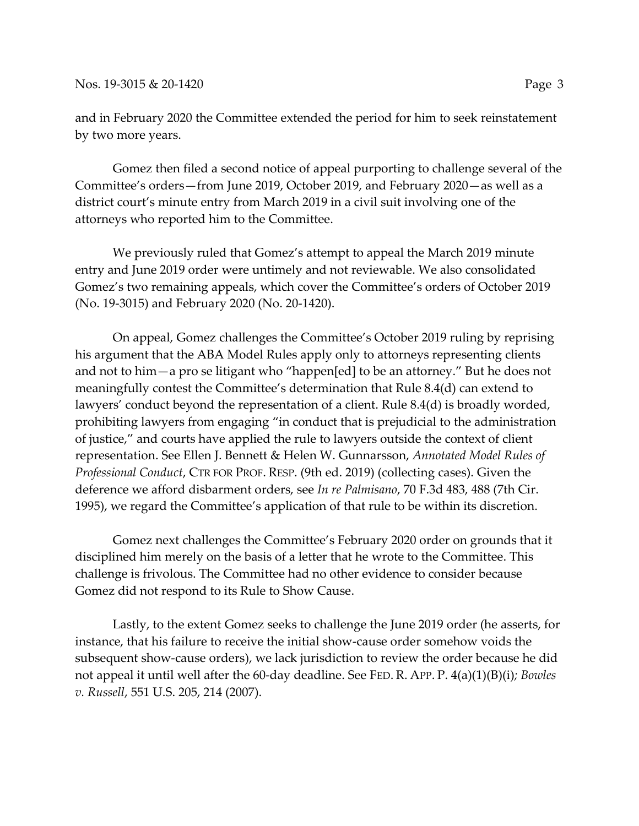and in February 2020 the Committee extended the period for him to seek reinstatement by two more years.

Gomez then filed a second notice of appeal purporting to challenge several of the Committee's orders—from June 2019, October 2019, and February 2020—as well as a district court's minute entry from March 2019 in a civil suit involving one of the attorneys who reported him to the Committee.

We previously ruled that Gomez's attempt to appeal the March 2019 minute entry and June 2019 order were untimely and not reviewable. We also consolidated Gomez's two remaining appeals, which cover the Committee's orders of October 2019 (No. 19-3015) and February 2020 (No. 20-1420).

On appeal, Gomez challenges the Committee's October 2019 ruling by reprising his argument that the ABA Model Rules apply only to attorneys representing clients and not to him—a pro se litigant who "happen[ed] to be an attorney." But he does not meaningfully contest the Committee's determination that Rule 8.4(d) can extend to lawyers' conduct beyond the representation of a client. Rule 8.4(d) is broadly worded, prohibiting lawyers from engaging "in conduct that is prejudicial to the administration of justice," and courts have applied the rule to lawyers outside the context of client representation. See Ellen J. Bennett & Helen W. Gunnarsson, *Annotated Model Rules of Professional Conduct*, CTR FOR PROF. RESP. (9th ed. 2019) (collecting cases). Given the deference we afford disbarment orders, see *In re Palmisano*, 70 F.3d 483, 488 (7th Cir. 1995), we regard the Committee's application of that rule to be within its discretion.

Gomez next challenges the Committee's February 2020 order on grounds that it disciplined him merely on the basis of a letter that he wrote to the Committee. This challenge is frivolous. The Committee had no other evidence to consider because Gomez did not respond to its Rule to Show Cause.

Lastly, to the extent Gomez seeks to challenge the June 2019 order (he asserts, for instance, that his failure to receive the initial show-cause order somehow voids the subsequent show-cause orders), we lack jurisdiction to review the order because he did not appeal it until well after the 60-day deadline. See FED. R. APP. P. 4(a)(1)(B)(i)*; Bowles v. Russell*, 551 U.S. 205, 214 (2007).